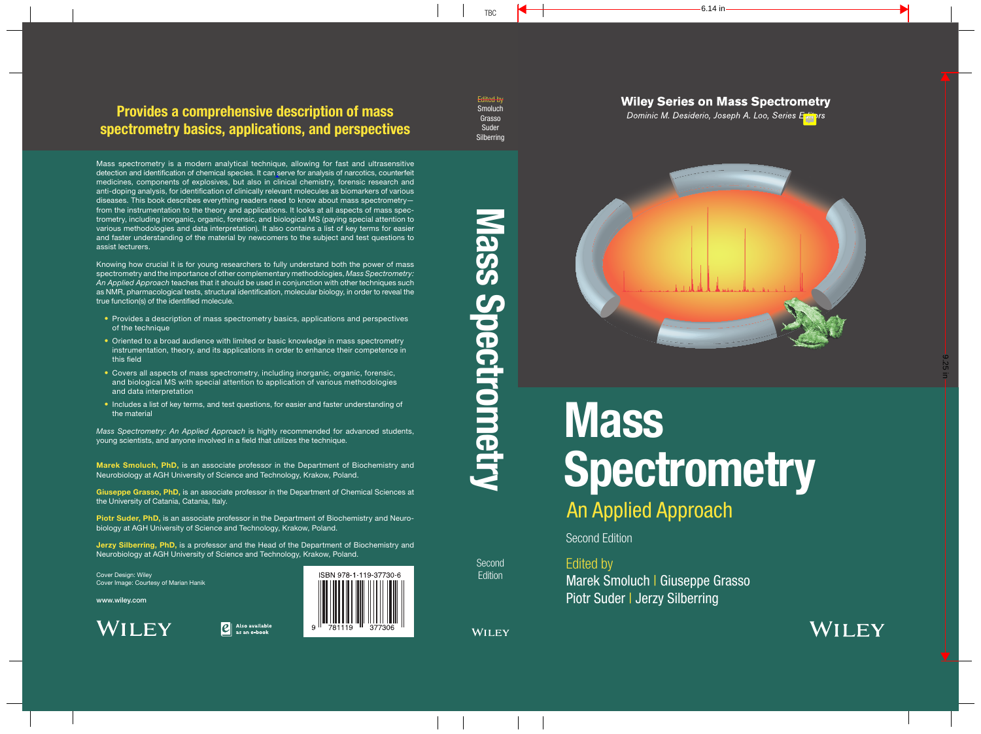### Provides a comprehensive description of mass spectrometry basics, applications, and perspectives

Mass spectrometry is a modern analytical technique, allowing for fast and ultrasensitive detection and identification of chemical species. It can serve for analysis of narcotics, counterfeit medicines, components of explosives, but also in clinical chemistry, forensic research and anti-doping analysis, for identification of clinically relevant molecules as biomarkers of various diseases. This book describes everything readers need to know about mass spectrometry from the instrumentation to the theory and applications. It looks at all aspects of mass spectrometry, including inorganic, organic, forensic, and biological MS (paying special attention to various methodologies and data interpretation). It also contains a list of key terms for easier and faster understanding of the material by newcomers to the subject and test questions to assist lecturers.

Knowing how crucial it is for young researchers to fully understand both the power of mass spectrometry and the importance of other complementary methodologies, *Mass Spectrometry: An Applied Approach* teaches that it should be used in conjunction with other techniques such as NMR, pharmacological tests, structural identification, molecular biology, in order to reveal the true function(s) of the identified molecule.

- Provides a description of mass spectrometry basics, applications and perspectives of the technique
- Oriented to a broad audience with limited or basic knowledge in mass spectrometry instrumentation, theory, and its applications in order to enhance their competence in this field
- Covers all aspects of mass spectrometry, including inorganic, organic, forensic, and biological MS with special attention to application of various methodologies and data interpretation
- Includes a list of key terms, and test questions, for easier and faster understanding of the material

*Mass Spectrometry: An Applied Approach* is highly recommended for advanced students, young scientists, and anyone involved in a field that utilizes the technique.

Marek Smoluch, PhD, is an associate professor in the Department of Biochemistry and Neurobiology at AGH University of Science and Technology, Krakow, Poland.

Giuseppe Grasso, PhD, is an associate professor in the Department of Chemical Sciences at the University of Catania, Catania, Italy.

Piotr Suder, PhD, is an associate professor in the Department of Biochemistry and Neurobiology at AGH University of Science and Technology, Krakow, Poland.

Jerzy Silberring, PhD, is a professor and the Head of the Department of Biochemistry and Neurobiology at AGH University of Science and Technology, Krakow, Poland.

<sup>2</sup> Also available

Cover Design: Wiley Cover Image: Courtesy of Marian Hanik

www.wiley.com

WILEY



Edited by Smoluch Grasso Suder **Silberring** 

TBC

# An Applied Approach **Mass Spectrometry**

Second Edition

Edited by Marek Smoluch | Giuseppe Grasso Piotr Suder | Jerzy Silberring

**Wiley Series on Mass Spectrometry** Dominic M. Desiderio, Joseph A. Loo, Series Ethiors

6.14 in



## 9.25 in

## WILEY

**WILEY** 

Second **Edition** 

Mass Spectrometry

Mass Spectrometr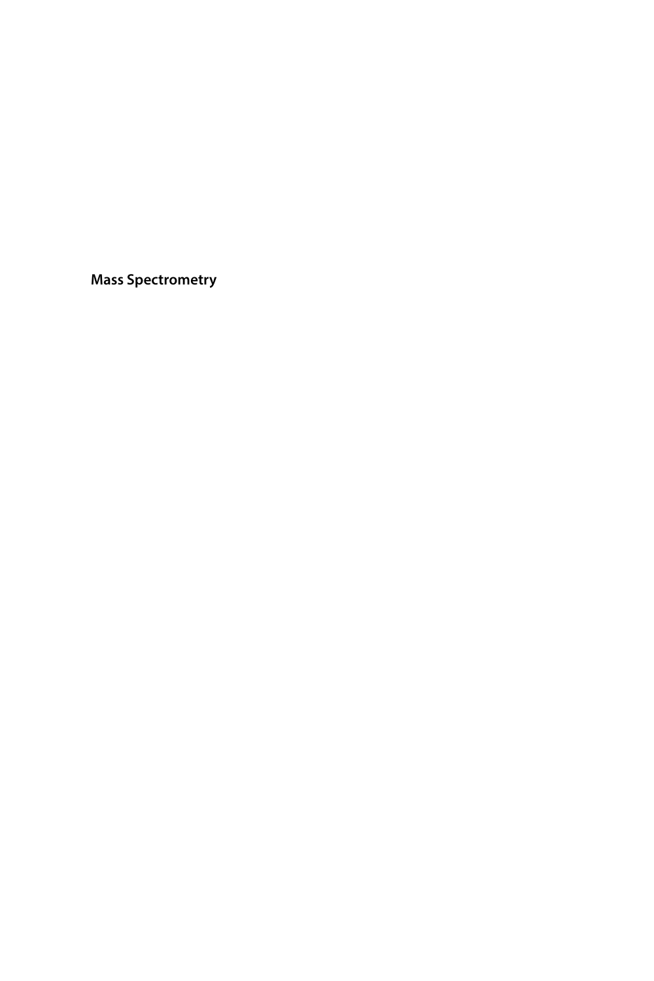**Mass Spectrometry**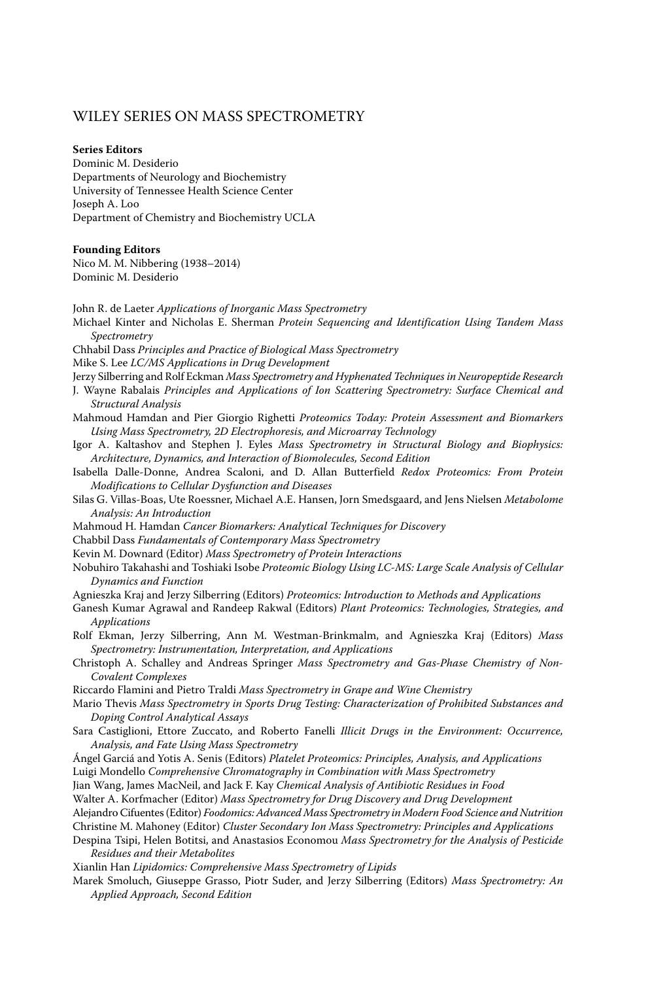#### WILEY SERIES ON MASS SPECTROMETRY

#### **Series Editors**

Dominic M. Desiderio Departments of Neurology and Biochemistry University of Tennessee Health Science Center Joseph A. Loo Department of Chemistry and Biochemistry UCLA

#### **Founding Editors**

Nico M. M. Nibbering (1938–2014) Dominic M. Desiderio

- John R. de Laeter *Applications of Inorganic Mass Spectrometry*
- Michael Kinter and Nicholas E. Sherman *Protein Sequencing and Identification Using Tandem Mass Spectrometry*
- Chhabil Dass *Principles and Practice of Biological Mass Spectrometry*
- Mike S. Lee *LC/MS Applications in Drug Development*
- Jerzy Silberring and Rolf Eckman *Mass Spectrometry and Hyphenated Techniques in Neuropeptide Research*
- J. Wayne Rabalais *Principles and Applications of Ion Scattering Spectrometry: Surface Chemical and Structural Analysis*
- Mahmoud Hamdan and Pier Giorgio Righetti *Proteomics Today: Protein Assessment and Biomarkers Using Mass Spectrometry, 2D Electrophoresis, and Microarray Technology*
- Igor A. Kaltashov and Stephen J. Eyles *Mass Spectrometry in Structural Biology and Biophysics: Architecture, Dynamics, and Interaction of Biomolecules, Second Edition*
- Isabella Dalle‐Donne, Andrea Scaloni, and D. Allan Butterfield *Redox Proteomics: From Protein Modifications to Cellular Dysfunction and Diseases*
- Silas G. Villas‐Boas, Ute Roessner, Michael A.E. Hansen, Jorn Smedsgaard, and Jens Nielsen *Metabolome Analysis: An Introduction*
- Mahmoud H. Hamdan *Cancer Biomarkers: Analytical Techniques for Discovery*
- Chabbil Dass *Fundamentals of Contemporary Mass Spectrometry*
- Kevin M. Downard (Editor) *Mass Spectrometry of Protein Interactions*
- Nobuhiro Takahashi and Toshiaki Isobe *Proteomic Biology Using LC‐MS: Large Scale Analysis of Cellular Dynamics and Function*
- Agnieszka Kraj and Jerzy Silberring (Editors) *Proteomics: Introduction to Methods and Applications*
- Ganesh Kumar Agrawal and Randeep Rakwal (Editors) *Plant Proteomics: Technologies, Strategies, and Applications*
- Rolf Ekman, Jerzy Silberring, Ann M. Westman‐Brinkmalm, and Agnieszka Kraj (Editors) *Mass Spectrometry: Instrumentation, Interpretation, and Applications*
- Christoph A. Schalley and Andreas Springer *Mass Spectrometry and Gas‐Phase Chemistry of Non‐ Covalent Complexes*

Riccardo Flamini and Pietro Traldi *Mass Spectrometry in Grape and Wine Chemistry*

- Mario Thevis *Mass Spectrometry in Sports Drug Testing: Characterization of Prohibited Substances and Doping Control Analytical Assays*
- Sara Castiglioni, Ettore Zuccato, and Roberto Fanelli *Illicit Drugs in the Environment: Occurrence, Analysis, and Fate Using Mass Spectrometry*
- Ángel Garciá and Yotis A. Senis (Editors) *Platelet Proteomics: Principles, Analysis, and Applications*
- Luigi Mondello *Comprehensive Chromatography in Combination with Mass Spectrometry* Jian Wang, James MacNeil, and Jack F. Kay *Chemical Analysis of Antibiotic Residues in Food*
- Walter A. Korfmacher (Editor) *Mass Spectrometry for Drug Discovery and Drug Development*
- Alejandro Cifuentes (Editor) *Foodomics: Advanced Mass Spectrometry in Modern Food Science and Nutrition*

Christine M. Mahoney (Editor) *Cluster Secondary Ion Mass Spectrometry: Principles and Applications*

Despina Tsipi, Helen Botitsi, and Anastasios Economou *Mass Spectrometry for the Analysis of Pesticide Residues and their Metabolites*

Xianlin Han *Lipidomics: Comprehensive Mass Spectrometry of Lipids*

Marek Smoluch, Giuseppe Grasso, Piotr Suder, and Jerzy Silberring (Editors) *Mass Spectrometry: An Applied Approach, Second Edition*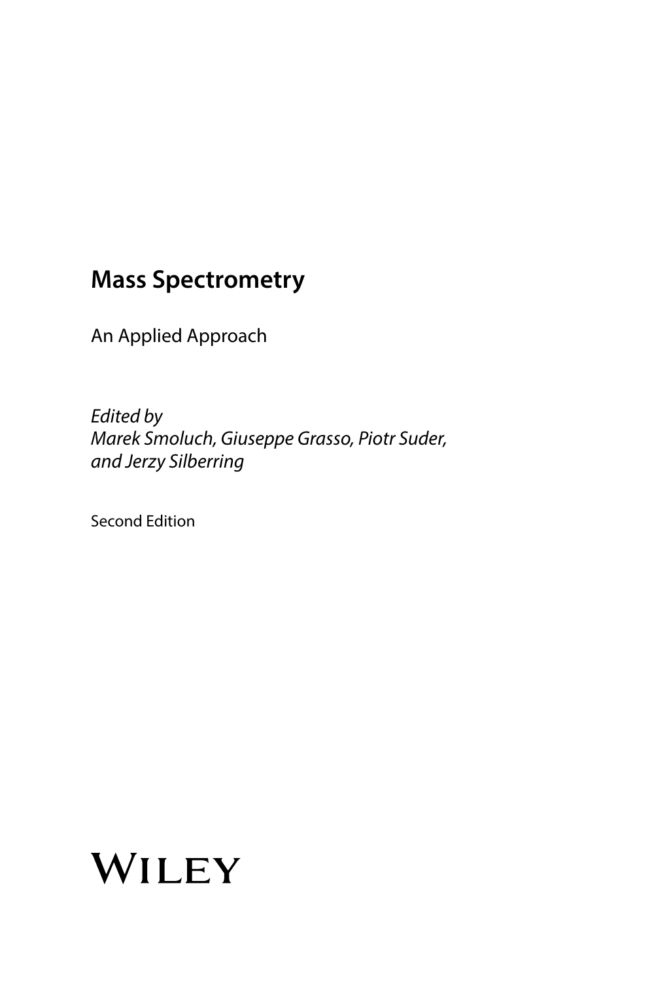### **Mass Spectrometry**

An Applied Approach

*Edited by Marek Smoluch, Giuseppe Grasso, Piotr Suder, and Jerzy Silberring*

Second Edition

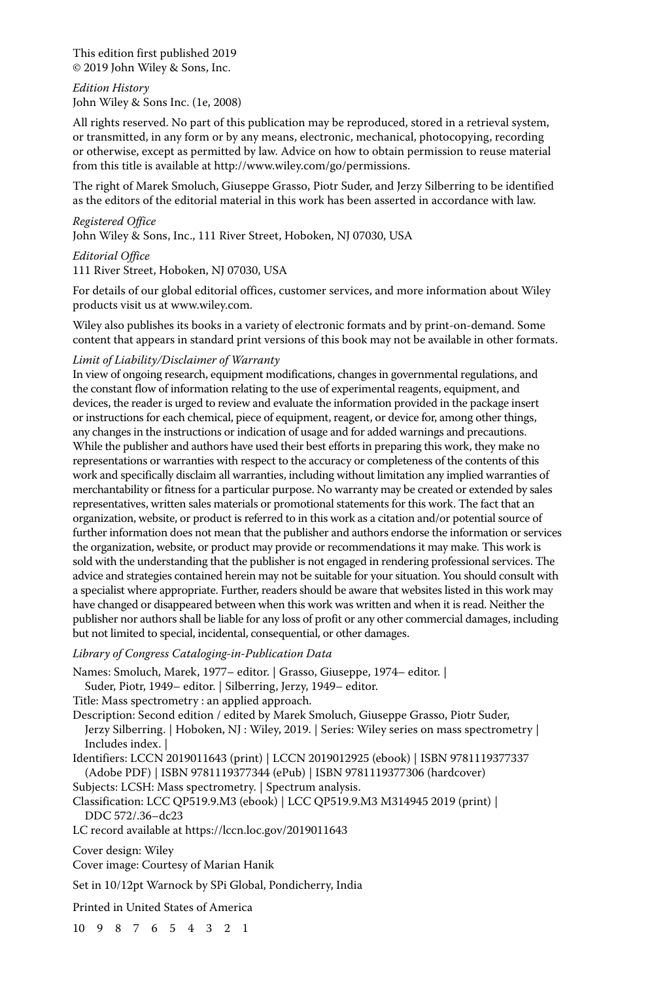This edition first published 2019 © 2019 John Wiley & Sons, Inc.

*Edition History* John Wiley & Sons Inc. (1e, 2008)

All rights reserved. No part of this publication may be reproduced, stored in a retrieval system, or transmitted, in any form or by any means, electronic, mechanical, photocopying, recording or otherwise, except as permitted by law. Advice on how to obtain permission to reuse material from this title is available at http://www.wiley.com/go/permissions.

The right of Marek Smoluch, Giuseppe Grasso, Piotr Suder, and Jerzy Silberring to be identified as the editors of the editorial material in this work has been asserted in accordance with law.

*Registered Office* John Wiley & Sons, Inc., 111 River Street, Hoboken, NJ 07030, USA

*Editorial Office* 111 River Street, Hoboken, NJ 07030, USA

For details of our global editorial offices, customer services, and more information about Wiley products visit us at www.wiley.com.

Wiley also publishes its books in a variety of electronic formats and by print-on-demand. Some content that appears in standard print versions of this book may not be available in other formats.

#### *Limit of Liability/Disclaimer of Warranty*

In view of ongoing research, equipment modifications, changes in governmental regulations, and the constant flow of information relating to the use of experimental reagents, equipment, and devices, the reader is urged to review and evaluate the information provided in the package insert or instructions for each chemical, piece of equipment, reagent, or device for, among other things, any changes in the instructions or indication of usage and for added warnings and precautions. While the publisher and authors have used their best efforts in preparing this work, they make no representations or warranties with respect to the accuracy or completeness of the contents of this work and specifically disclaim all warranties, including without limitation any implied warranties of merchantability or fitness for a particular purpose. No warranty may be created or extended by sales representatives, written sales materials or promotional statements for this work. The fact that an organization, website, or product is referred to in this work as a citation and/or potential source of further information does not mean that the publisher and authors endorse the information or services the organization, website, or product may provide or recommendations it may make. This work is sold with the understanding that the publisher is not engaged in rendering professional services. The advice and strategies contained herein may not be suitable for your situation. You should consult with a specialist where appropriate. Further, readers should be aware that websites listed in this work may have changed or disappeared between when this work was written and when it is read. Neither the publisher nor authors shall be liable for any loss of profit or any other commercial damages, including but not limited to special, incidental, consequential, or other damages.

#### *Library of Congress Cataloging‐in‐Publication Data*

Names: Smoluch, Marek, 1977– editor. | Grasso, Giuseppe, 1974– editor. |

Suder, Piotr, 1949– editor. | Silberring, Jerzy, 1949– editor.

Title: Mass spectrometry : an applied approach.

Description: Second edition / edited by Marek Smoluch, Giuseppe Grasso, Piotr Suder, Jerzy Silberring. | Hoboken, NJ : Wiley, 2019. | Series: Wiley series on mass spectrometry | Includes index. |

Identifiers: LCCN 2019011643 (print) | LCCN 2019012925 (ebook) | ISBN 9781119377337 (Adobe PDF) | ISBN 9781119377344 (ePub) | ISBN 9781119377306 (hardcover)

Subjects: LCSH: Mass spectrometry. | Spectrum analysis.

Classification: LCC QP519.9.M3 (ebook) | LCC QP519.9.M3 M314945 2019 (print) | DDC 572/.36–dc23

LC record available at https://lccn.loc.gov/2019011643

Cover design: Wiley Cover image: Courtesy of Marian Hanik

Set in 10/12pt Warnock by SPi Global, Pondicherry, India

Printed in United States of America

10 9 8 7 6 5 4 3 2 1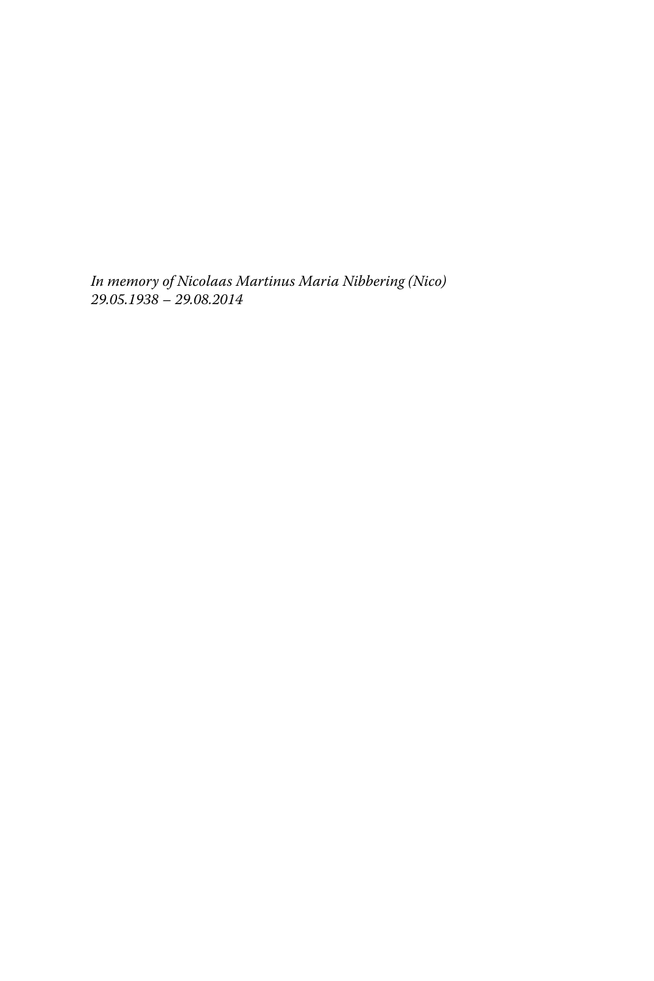*In memory of Nicolaas Martinus Maria Nibbering (Nico) 29.05.1938 – 29.08.2014*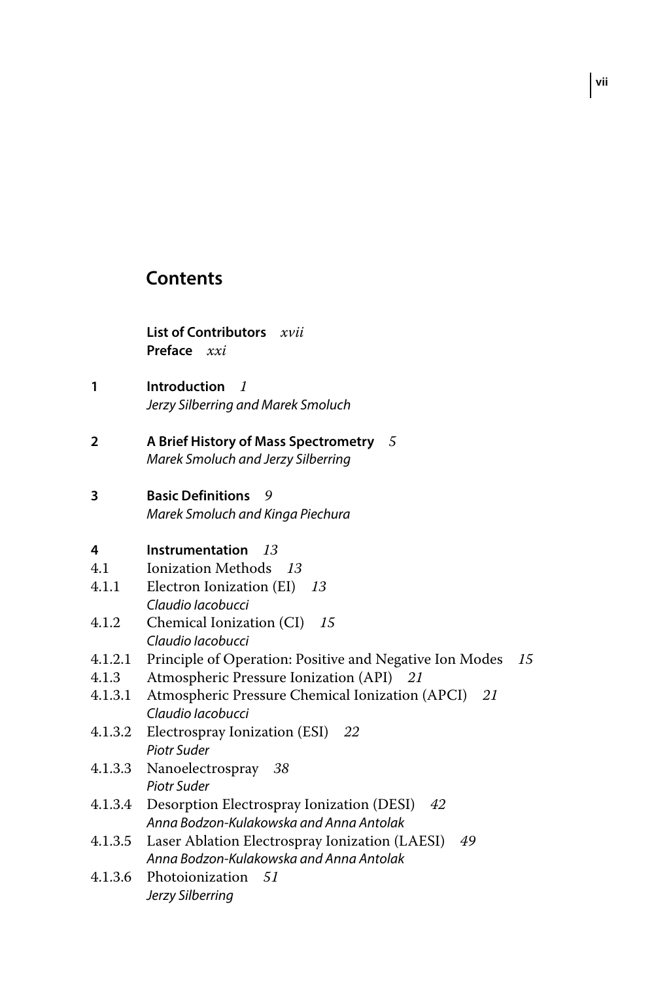#### **Contents**

**List of Contributors** *xvii* **Preface** *xxi*

- **1 Introduction** *1 Jerzy Silberring and Marek Smoluch*
- **2 A Brief History of Mass Spectrometry** *5 Marek Smoluch and Jerzy Silberring*
- **3 Basic Definitions** *9 Marek Smoluch and Kinga Piechura*

## **4 Instrumentation** *13*

- 4.1 Ionization Methods *13*
- 4.1.1 Electron Ionization (EI) *13 Claudio Iacobucci*
- 4.1.2 Chemical Ionization (CI) *15 Claudio Iacobucci*
- 4.1.2.1 Principle of Operation: Positive and Negative Ion Modes *15*
- 4.1.3 Atmospheric Pressure Ionization (API) *21*
- 4.1.3.1 Atmospheric Pressure Chemical Ionization (APCI) *21 Claudio Iacobucci*
- 4.1.3.2 Electrospray Ionization (ESI) *22 Piotr Suder*
- 4.1.3.3 Nanoelectrospray *38 Piotr Suder*
- 4.1.3.4 Desorption Electrospray Ionization (DESI) *42 Anna Bodzon‐Kulakowska and Anna Antolak*
- 4.1.3.5 Laser Ablation Electrospray Ionization (LAESI) *49 Anna Bodzon‐Kulakowska and Anna Antolak*
- 4.1.3.6 Photoionization *51 Jerzy Silberring*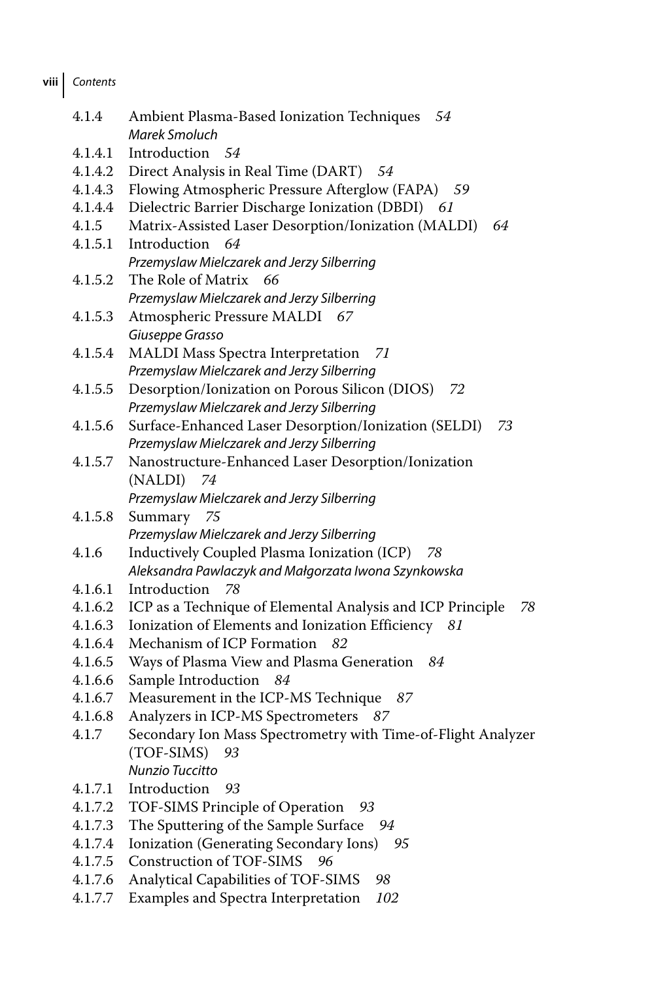| iii I | Contents |
|-------|----------|
|       |          |

| 4.1.4   | Ambient Plasma-Based Ionization Techniques 54                    |
|---------|------------------------------------------------------------------|
|         | Marek Smoluch                                                    |
| 4.1.4.1 | Introduction 54                                                  |
| 4.1.4.2 | Direct Analysis in Real Time (DART) 54                           |
| 4.1.4.3 | Flowing Atmospheric Pressure Afterglow (FAPA) 59                 |
| 4.1.4.4 | Dielectric Barrier Discharge Ionization (DBDI) 61                |
| 4.1.5   | Matrix-Assisted Laser Desorption/Ionization (MALDI)<br>64        |
| 4.1.5.1 | Introduction<br>- 64                                             |
|         | Przemyslaw Mielczarek and Jerzy Silberring                       |
| 4.1.5.2 | The Role of Matrix 66                                            |
|         | Przemyslaw Mielczarek and Jerzy Silberring                       |
| 4.1.5.3 | Atmospheric Pressure MALDI 67                                    |
|         | Giuseppe Grasso                                                  |
| 4.1.5.4 | <b>MALDI</b> Mass Spectra Interpretation<br>- 71                 |
|         | Przemyslaw Mielczarek and Jerzy Silberring                       |
| 4.1.5.5 | Desorption/Ionization on Porous Silicon (DIOS)<br>72             |
|         | Przemyslaw Mielczarek and Jerzy Silberring                       |
| 4.1.5.6 | Surface-Enhanced Laser Desorption/Ionization (SELDI)<br>73       |
|         | Przemyslaw Mielczarek and Jerzy Silberring                       |
| 4.1.5.7 | Nanostructure-Enhanced Laser Desorption/Ionization               |
|         | (NALDI)<br>74                                                    |
|         | Przemyslaw Mielczarek and Jerzy Silberring                       |
| 4.1.5.8 | Summary<br>75                                                    |
|         | Przemyslaw Mielczarek and Jerzy Silberring                       |
| 4.1.6   | Inductively Coupled Plasma Ionization (ICP) 78                   |
|         | Aleksandra Pawlaczyk and Małgorzata Iwona Szynkowska             |
| 4.1.6.1 | Introduction<br>78                                               |
| 4.1.6.2 | ICP as a Technique of Elemental Analysis and ICP Principle<br>78 |
| 4.1.6.3 | Ionization of Elements and Ionization Efficiency 81              |
| 4.1.6.4 | Mechanism of ICP Formation<br>82                                 |
| 4.1.6.5 | Ways of Plasma View and Plasma Generation 84                     |
| 4.1.6.6 | Sample Introduction<br>84                                        |
| 4.1.6.7 | Measurement in the ICP-MS Technique<br>87                        |
| 4.1.6.8 | Analyzers in ICP-MS Spectrometers 87                             |
| 4.1.7   | Secondary Ion Mass Spectrometry with Time-of-Flight Analyzer     |
|         | (TOF-SIMS)<br>93                                                 |
|         | Nunzio Tuccitto                                                  |
| 4.1.7.1 | Introduction 93                                                  |
| 4.1.7.2 | TOF-SIMS Principle of Operation<br>93                            |
| 4.1.7.3 | The Sputtering of the Sample Surface<br>94                       |
| 4.1.7.4 | Ionization (Generating Secondary Ions)<br>95                     |
| 4.1.7.5 | <b>Construction of TOF-SIMS</b><br>96                            |
| 4.1.7.6 | Analytical Capabilities of TOF-SIMS<br>98                        |
| 4.1.7.7 | Examples and Spectra Interpretation<br>102                       |
|         |                                                                  |

**viii**  $\vert$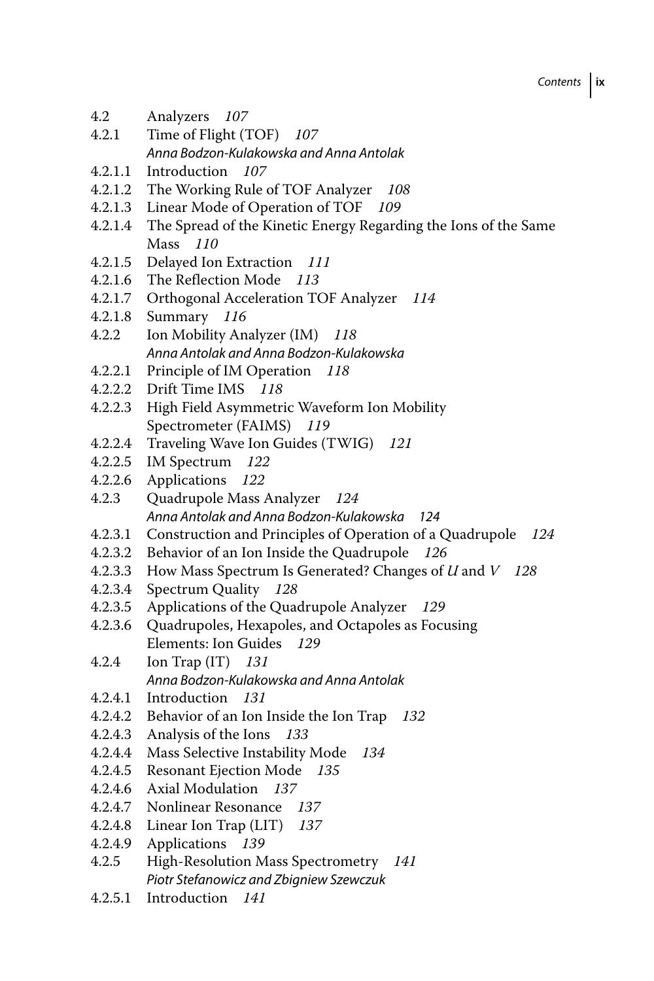- 4.2 Analyzers *107*
- 4.2.1 Time of Flight (TOF) *107 Anna Bodzon-Kulakowska and Anna Antolak*
- 4.2.1.1 Introduction *107*
- 4.2.1.2 The Working Rule of TOF Analyzer *108*
- 4.2.1.3 Linear Mode of Operation of TOF *109*
- 4.2.1.4 The Spread of the Kinetic Energy Regarding the Ions of the Same Mass *110*
- 4.2.1.5 Delayed Ion Extraction *111*
- 4.2.1.6 The Reflection Mode *113*
- 4.2.1.7 Orthogonal Acceleration TOF Analyzer *114*
- 4.2.1.8 Summary *116*
- 4.2.2 Ion Mobility Analyzer (IM) *118 Anna Antolak and Anna Bodzon-Kulakowska*
- 4.2.2.1 Principle of IM Operation *118*
- 4.2.2.2 Drift Time IMS *118*
- 4.2.2.3 High Field Asymmetric Waveform Ion Mobility Spectrometer (FAIMS) *119*
- 4.2.2.4 Traveling Wave Ion Guides (TWIG) *121*
- 4.2.2.5 IM Spectrum *122*
- 4.2.2.6 Applications *122*
- 4.2.3 Quadrupole Mass Analyzer *124 Anna Antolak and Anna Bodzon-Kulakowska 124*
- 4.2.3.1 Construction and Principles of Operation of a Quadrupole *124*
- 4.2.3.2 Behavior of an Ion Inside the Quadrupole *126*
- 4.2.3.3 How Mass Spectrum Is Generated? Changes of *U* and *V 128*
- 4.2.3.4 Spectrum Quality *128*
- 4.2.3.5 Applications of the Quadrupole Analyzer *129*
- 4.2.3.6 Quadrupoles, Hexapoles, and Octapoles as Focusing Elements: Ion Guides *129*
- 4.2.4 Ion Trap (IT) *131 Anna Bodzon-Kulakowska and Anna Antolak*
- 4.2.4.1 Introduction *131*
- 4.2.4.2 Behavior of an Ion Inside the Ion Trap *132*
- 4.2.4.3 Analysis of the Ions *133*
- 4.2.4.4 Mass Selective Instability Mode *134*
- 4.2.4.5 Resonant Ejection Mode *135*
- 4.2.4.6 Axial Modulation *137*
- 4.2.4.7 Nonlinear Resonance *137*
- 4.2.4.8 Linear Ion Trap (LIT) *137*
- 4.2.4.9 Applications *139*
- 4.2.5 High‐Resolution Mass Spectrometry *141 Piotr Stefanowicz and Zbigniew Szewczuk*
- 4.2.5.1 Introduction *141*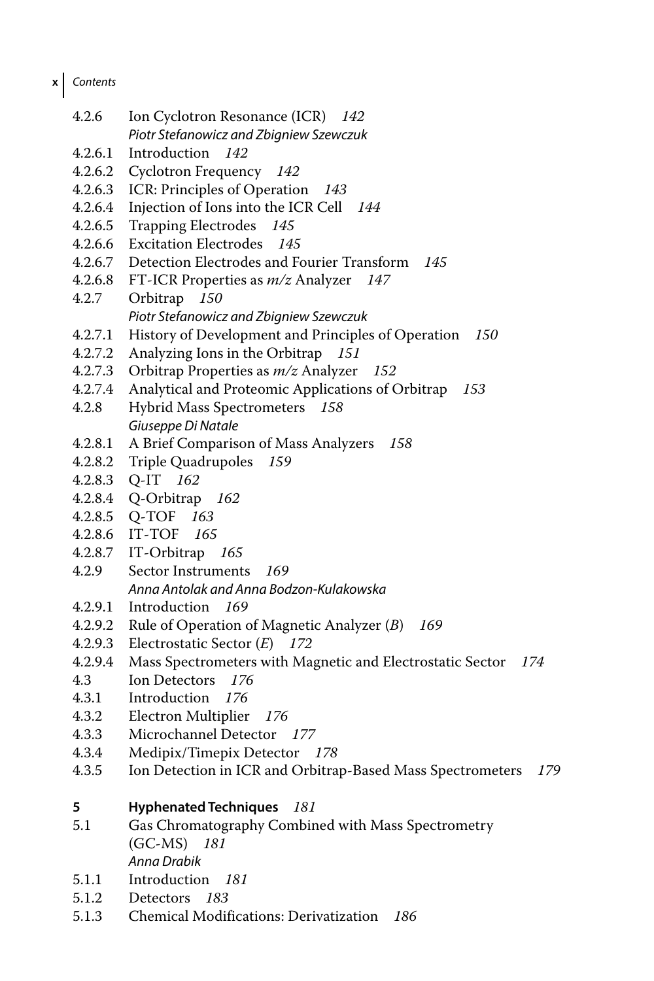**x** *Contents*

- 4.2.6 Ion Cyclotron Resonance (ICR) *142 Piotr Stefanowicz and Zbigniew Szewczuk*
- 4.2.6.1 Introduction *142*
- 4.2.6.2 Cyclotron Frequency *142*
- 4.2.6.3 ICR: Principles of Operation *143*
- 4.2.6.4 Injection of Ions into the ICR Cell *144*
- 4.2.6.5 Trapping Electrodes *145*
- 4.2.6.6 Excitation Electrodes *145*
- 4.2.6.7 Detection Electrodes and Fourier Transform *145*
- 4.2.6.8 FT‐ICR Properties as *m/z* Analyzer *147*
- 4.2.7 Orbitrap *150 Piotr Stefanowicz and Zbigniew Szewczuk*
- 4.2.7.1 History of Development and Principles of Operation *150*
- 4.2.7.2 Analyzing Ions in the Orbitrap *151*
- 4.2.7.3 Orbitrap Properties as *m/z* Analyzer *152*
- 4.2.7.4 Analytical and Proteomic Applications of Orbitrap *153*
- 4.2.8 Hybrid Mass Spectrometers *158 Giuseppe Di Natale*
- 4.2.8.1 A Brief Comparison of Mass Analyzers *158*
- 4.2.8.2 Triple Quadrupoles *159*
- 4.2.8.3 Q‐IT *162*
- 4.2.8.4 Q‐Orbitrap *162*
- 4.2.8.5 Q‐TOF *163*
- 4.2.8.6 IT‐TOF *165*
- 4.2.8.7 IT‐Orbitrap *165*
- 4.2.9 Sector Instruments *169 Anna Antolak and Anna Bodzon-Kulakowska*
- 4.2.9.1 Introduction *169*
- 4.2.9.2 Rule of Operation of Magnetic Analyzer (*B*) *169*
- 4.2.9.3 Electrostatic Sector (*E*) *172*
- 4.2.9.4 Mass Spectrometers with Magnetic and Electrostatic Sector *174*
- 4.3 Ion Detectors *176*
- 4.3.1 Introduction *176*
- 4.3.2 Electron Multiplier *176*
- 4.3.3 Microchannel Detector *177*
- 4.3.4 Medipix/Timepix Detector *178*
- 4.3.5 Ion Detection in ICR and Orbitrap‐Based Mass Spectrometers *179*
- **5 Hyphenated Techniques** *181*
- Gas Chromatography Combined with Mass Spectrometry (GC‐MS) *181 Anna Drabik*
- 5.1.1 Introduction *181*
- 5.1.2 Detectors *183*
- 5.1.3 Chemical Modifications: Derivatization *186*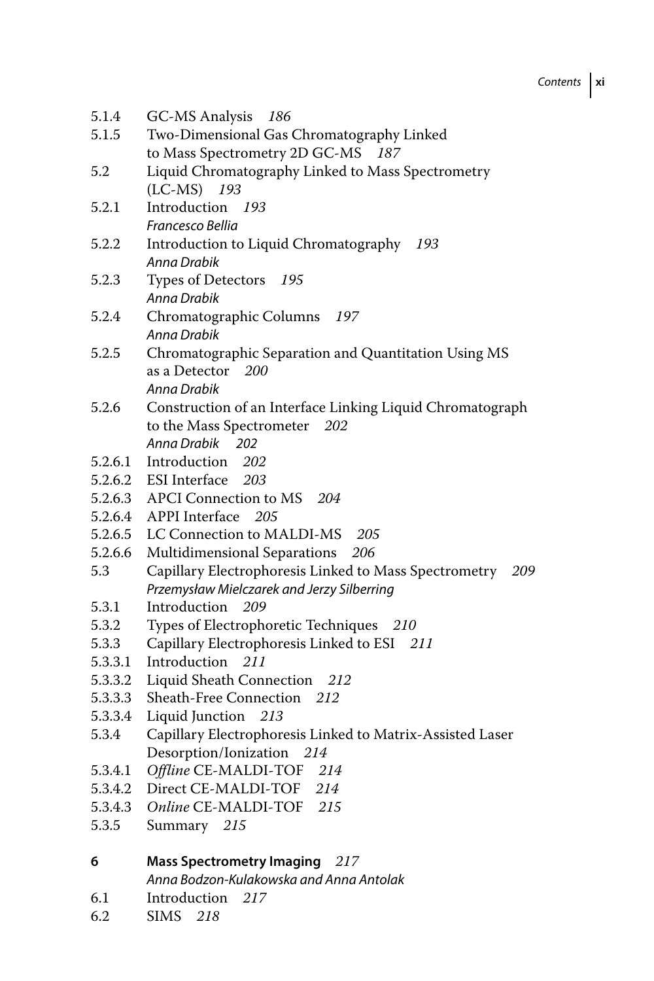| 5.1.4<br>5.1.5 | GC-MS Analysis 186<br>Two-Dimensional Gas Chromatography Linked |
|----------------|-----------------------------------------------------------------|
|                | to Mass Spectrometry 2D GC-MS<br>- 187                          |
| 5.2            | Liquid Chromatography Linked to Mass Spectrometry               |
|                | $(LC-MS)$<br>193                                                |
| 5.2.1          | Introduction<br>- 193                                           |
|                | Francesco Bellia                                                |
| 5.2.2          | Introduction to Liquid Chromatography 193                       |
|                | Anna Drabik                                                     |
| 5.2.3          | Types of Detectors<br>195                                       |
|                | Anna Drabik                                                     |
| 5.2.4          | Chromatographic Columns<br>- 197                                |
|                | Anna Drabik                                                     |
| 5.2.5          | Chromatographic Separation and Quantitation Using MS            |
|                | as a Detector<br><b>200</b>                                     |
|                | Anna Drabik                                                     |
| 5.2.6          | Construction of an Interface Linking Liquid Chromatograph       |
|                | to the Mass Spectrometer 202                                    |
|                | Anna Drabik<br>202                                              |
| 5.2.6.1        | 202<br>Introduction                                             |
| 5.2.6.2        | 203<br><b>ESI</b> Interface                                     |
| 5.2.6.3        | APCI Connection to MS 204                                       |
| 5.2.6.4        | APPI Interface<br>205                                           |
| 5.2.6.5        | LC Connection to MALDI-MS<br>205                                |
| 5.2.6.6        | Multidimensional Separations<br>206                             |
| 5.3            | Capillary Electrophoresis Linked to Mass Spectrometry<br>209    |
|                | Przemysław Mielczarek and Jerzy Silberring                      |
| 5.3.1          | Introduction 209                                                |
| 5.3.2          | Types of Electrophoretic Techniques<br>- 210                    |
| 5.3.3          | Capillary Electrophoresis Linked to ESI 211                     |
| 5.3.3.1        | Introduction<br>211                                             |
| 5.3.3.2        | Liquid Sheath Connection 212                                    |
| 5.3.3.3        | Sheath-Free Connection 212                                      |
| 5.3.3.4        | Liquid Junction 213                                             |
| 5.3.4          | Capillary Electrophoresis Linked to Matrix-Assisted Laser       |
|                | Desorption/Ionization<br>214                                    |
| 5.3.4.1        | Offline CE-MALDI-TOF<br>214                                     |
| 5.3.4.2        | Direct CE-MALDI-TOF<br>214                                      |
| 5.3.4.3        | <i>Online</i> CE-MALDI-TOF<br>215                               |
| 5.3.5          | Summary 215                                                     |
| 6              | Mass Spectrometry Imaging 217                                   |

*Anna Bodzon‐Kulakowska and Anna Antolak*

- 6.1 Introduction *217*
- 6.2 SIMS *218*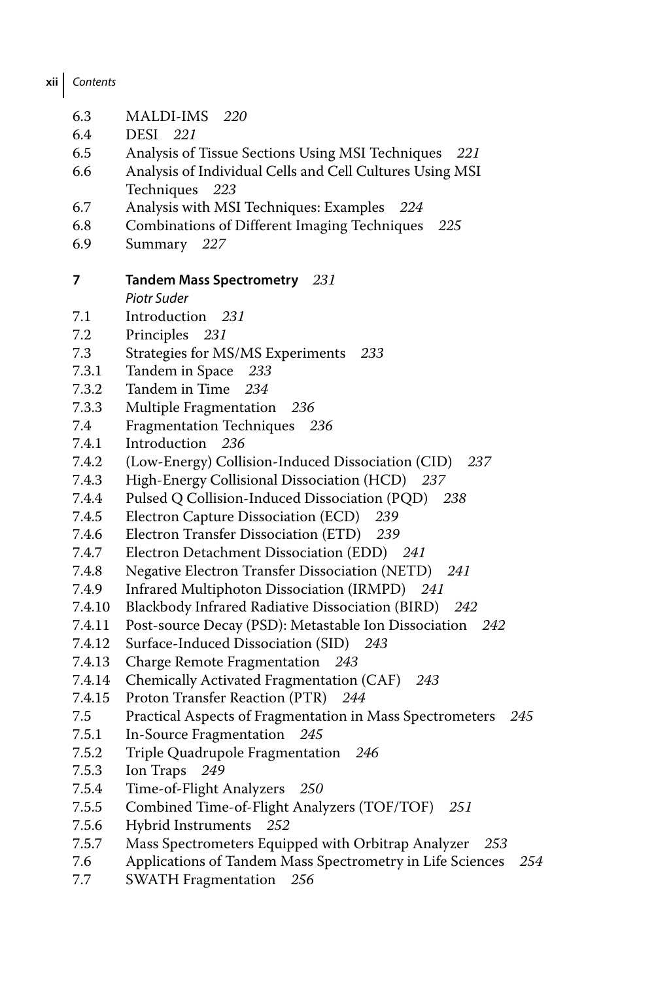- **xii** *Contents*
	- 6.3 MALDI‐IMS *220* 6.4 DESI *221* 6.5 Analysis of Tissue Sections Using MSI Techniques *221* 6.6 Analysis of Individual Cells and Cell Cultures Using MSI Techniques *223* 6.7 Analysis with MSI Techniques: Examples *224* 6.8 Combinations of Different Imaging Techniques *225* 6.9 Summary *227* **7 Tandem Mass Spectrometry** *231 Piotr Suder* 7.1 Introduction *231* 7.2 Principles *231* 7.3 Strategies for MS/MS Experiments *233* 7.3.1 Tandem in Space *233* 7.3.2 Tandem in Time *234* 7.3.3 Multiple Fragmentation *236* 7.4 Fragmentation Techniques *236* 7.4.1 Introduction *236* 7.4.2 (Low-Energy) Collision-Induced Dissociation (CID) 237<br>7.4.3 High-Energy Collisional Dissociation (HCD) 237 7.4.3 High‐Energy Collisional Dissociation (HCD) *237* 7.4.4 Pulsed Q Collision-Induced Dissociation (PQD) 238<br>7.4.5 Electron Capture Dissociation (ECD) 239 Electron Capture Dissociation (ECD) 239 7.4.6 Electron Transfer Dissociation (ETD) *239* Electron Detachment Dissociation (EDD) 241 7.4.8 Negative Electron Transfer Dissociation (NETD) *241* 7.4.9 Infrared Multiphoton Dissociation (IRMPD) *241* 7.4.10 Blackbody Infrared Radiative Dissociation (BIRD) *242* 7.4.11 Post‐source Decay (PSD): Metastable Ion Dissociation *242* 7.4.12 Surface‐Induced Dissociation (SID) *243* 7.4.13 Charge Remote Fragmentation *243* 7.4.14 Chemically Activated Fragmentation (CAF) *243* 7.4.15 Proton Transfer Reaction (PTR) *244*
	- 7.5 Practical Aspects of Fragmentation in Mass Spectrometers *245*
	- 7.5.1 In‐Source Fragmentation *245*
	- 7.5.2 Triple Quadrupole Fragmentation *246*
	- 7.5.3 Ion Traps *249*
	- 7.5.4 Time‐of‐Flight Analyzers *250*
	- 7.5.5 Combined Time‐of‐Flight Analyzers (TOF/TOF) *251*
	- 7.5.6 Hybrid Instruments *252*
	- 7.5.7 Mass Spectrometers Equipped with Orbitrap Analyzer *253*
	- 7.6 Applications of Tandem Mass Spectrometry in Life Sciences *254*
	- 7.7 SWATH Fragmentation *256*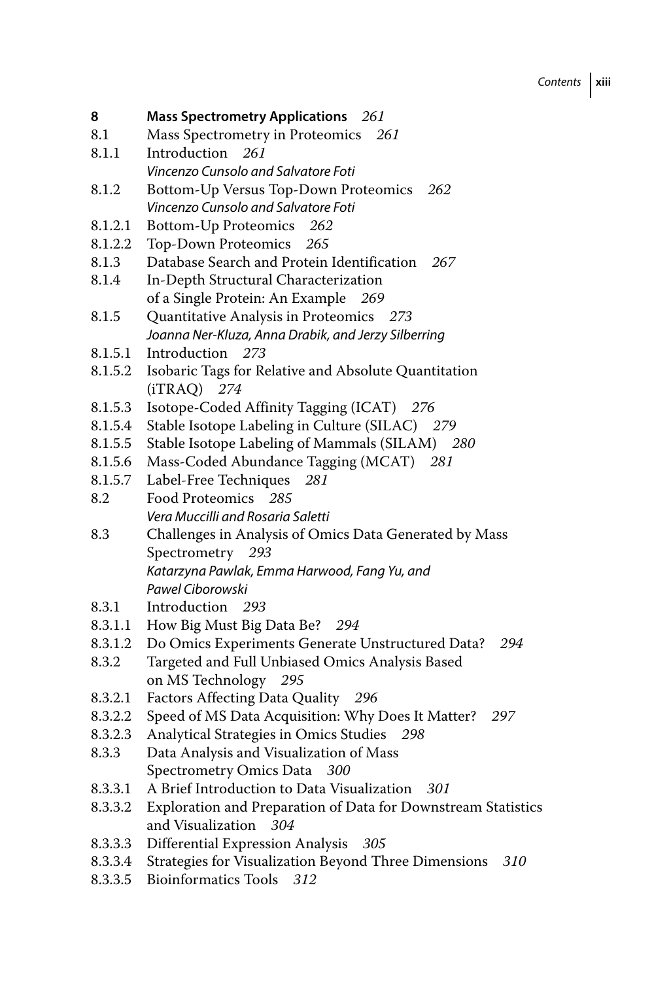*Contents* **xiii**

**8 Mass Spectrometry Applications** *261* 8.1 Mass Spectrometry in Proteomics *261* 8.1.1 Introduction *261 Vincenzo Cunsolo and Salvatore Foti* 8.1.2 Bottom‐Up Versus Top‐Down Proteomics *262 Vincenzo Cunsolo and Salvatore Foti* 8.1.2.1 Bottom‐Up Proteomics *262* 8.1.2.2 Top‐Down Proteomics *265* 8.1.3 Database Search and Protein Identification *267* 8.1.4 In‐Depth Structural Characterization of a Single Protein: An Example *269* 8.1.5 Quantitative Analysis in Proteomics *273 Joanna Ner‐Kluza, Anna Drabik, and Jerzy Silberring* 8.1.5.1 Introduction *273* 8.1.5.2 Isobaric Tags for Relative and Absolute Quantitation (iTRAQ) *274* 8.1.5.3 Isotope‐Coded Affinity Tagging (ICAT) *276* 8.1.5.4 Stable Isotope Labeling in Culture (SILAC) *279* 8.1.5.5 Stable Isotope Labeling of Mammals (SILAM) *280* 8.1.5.6 Mass‐Coded Abundance Tagging (MCAT) *281* 8.1.5.7 Label‐Free Techniques *281* 8.2 Food Proteomics *285 Vera Muccilli and Rosaria Saletti* 8.3 Challenges in Analysis of Omics Data Generated by Mass Spectrometry *293 Katarzyna Pawlak, Emma Harwood, Fang Yu, and Pawel Ciborowski* 8.3.1 Introduction *293* 8.3.1.1 How Big Must Big Data Be? *294* 8.3.1.2 Do Omics Experiments Generate Unstructured Data? *294* 8.3.2 Targeted and Full Unbiased Omics Analysis Based on MS Technology *295* 8.3.2.1 Factors Affecting Data Quality *296* 8.3.2.2 Speed of MS Data Acquisition: Why Does It Matter? *297* 8.3.2.3 Analytical Strategies in Omics Studies *298* 8.3.3 Data Analysis and Visualization of Mass Spectrometry Omics Data *300* 8.3.3.1 A Brief Introduction to Data Visualization *301* 8.3.3.2 Exploration and Preparation of Data for Downstream Statistics and Visualization *304* 8.3.3.3 Differential Expression Analysis *305* 8.3.3.4 Strategies for Visualization Beyond Three Dimensions *310* 8.3.3.5 Bioinformatics Tools *312*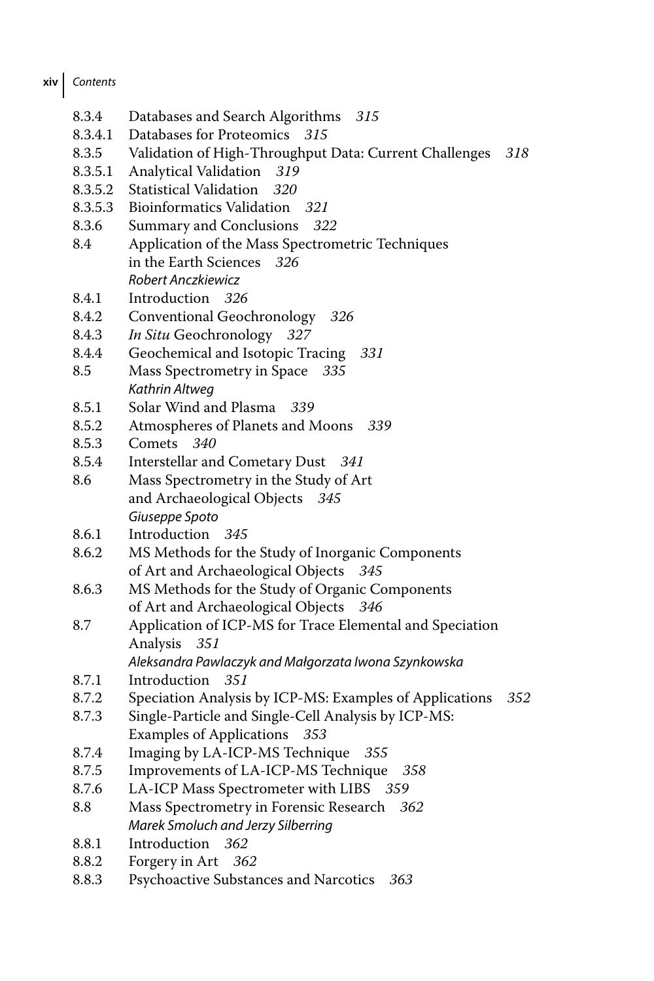**xiv** *Contents*

- 8.3.4 Databases and Search Algorithms *315*
- 8.3.4.1 Databases for Proteomics *315*
- 8.3.5 Validation of High‐Throughput Data: Current Challenges *318*
- 8.3.5.1 Analytical Validation *319*
- 8.3.5.2 Statistical Validation *320*
- 8.3.5.3 Bioinformatics Validation *321*
- 8.3.6 Summary and Conclusions *322*
- 8.4 Application of the Mass Spectrometric Techniques in the Earth Sciences *326 Robert Anczkiewicz*
- 8.4.1 Introduction *326*
- 8.4.2 Conventional Geochronology *326*
- 8.4.3 *In Situ* Geochronology *327*
- 8.4.4 Geochemical and Isotopic Tracing *331*
- 8.5 Mass Spectrometry in Space *335 Kathrin Altweg*
- 8.5.1 Solar Wind and Plasma *339*
- 8.5.2 Atmospheres of Planets and Moons *339*
- 8.5.3 Comets *340*
- 8.5.4 Interstellar and Cometary Dust *341*
- 8.6 Mass Spectrometry in the Study of Art and Archaeological Objects *345 Giuseppe Spoto*
- 8.6.1 Introduction 345<br>8.6.2 MS Methods for th
- MS Methods for the Study of Inorganic Components of Art and Archaeological Objects *345*
- 8.6.3 MS Methods for the Study of Organic Components of Art and Archaeological Objects *346*
- 8.7 Application of ICP-MS for Trace Elemental and Speciation Analysis *351*
	- *Aleksandra Pawlaczyk and Małgorzata Iwona Szynkowska*
- 8.7.1 Introduction *351*
- 8.7.2 Speciation Analysis by ICP‐MS: Examples of Applications *352*
- 8.7.3 Single‐Particle and Single‐Cell Analysis by ICP‐MS: Examples of Applications *353*
- 8.7.4 Imaging by LA‐ICP‐MS Technique *355*
- 8.7.5 Improvements of LA‐ICP‐MS Technique *358*
- 8.7.6 LA‐ICP Mass Spectrometer with LIBS *359*
- 8.8 Mass Spectrometry in Forensic Research *362 Marek Smoluch and Jerzy Silberring*
- 8.8.1 Introduction *362*
- 8.8.2 Forgery in Art *362*
- 8.8.3 Psychoactive Substances and Narcotics *363*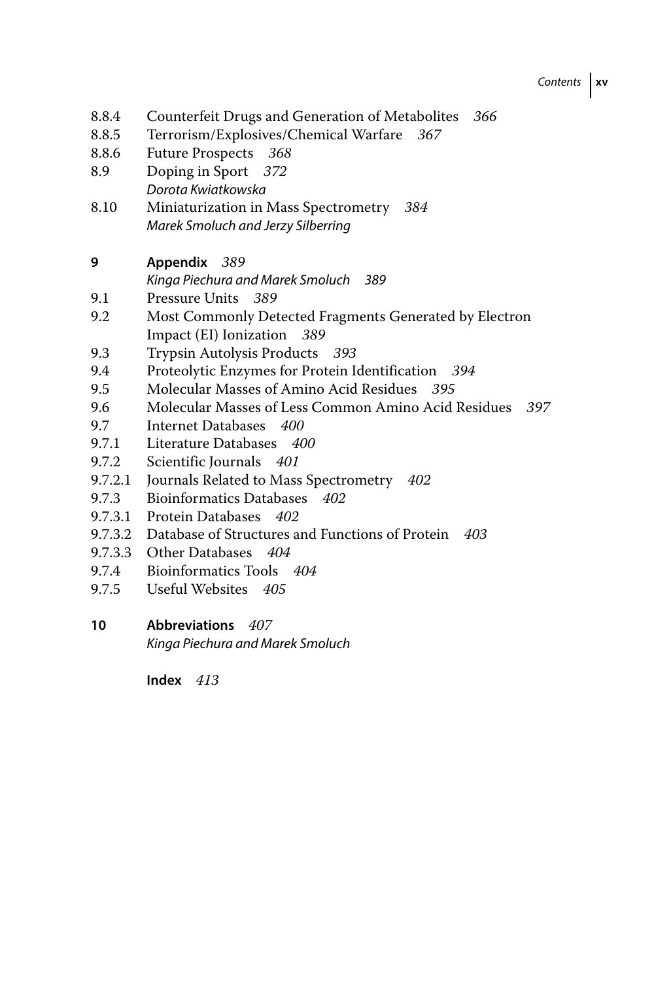*Contents* **xv**

- 8.8.4 Counterfeit Drugs and Generation of Metabolites *366*
- 8.8.5 Terrorism/Explosives/Chemical Warfare *367*
- 8.8.6 Future Prospects *368*
- 8.9 Doping in Sport *372 Dorota Kwiatkowska*
- 8.10 Miniaturization in Mass Spectrometry *384 Marek Smoluch and Jerzy Silberring*
- **9 Appendix** *389*
	- *Kinga Piechura and Marek Smoluch 389*
- 9.1 Pressure Units *389*
- Most Commonly Detected Fragments Generated by Electron Impact (EI) Ionization *389*
- 9.3 Trypsin Autolysis Products *393*
- 9.4 Proteolytic Enzymes for Protein Identification *394*
- 9.5 Molecular Masses of Amino Acid Residues *395*
- 9.6 Molecular Masses of Less Common Amino Acid Residues *397*
- 9.7 Internet Databases *400*
- 9.7.1 Literature Databases *400*
- 9.7.2 Scientific Journals *401*
- 9.7.2.1 Journals Related to Mass Spectrometry *402*
- 9.7.3 Bioinformatics Databases *402*
- 9.7.3.1 Protein Databases *402*
- 9.7.3.2 Database of Structures and Functions of Protein *403*
- 9.7.3.3 Other Databases *404*
- 9.7.4 Bioinformatics Tools *404*
- 9.7.5 Useful Websites *405*

#### **10 Abbreviations** *407*

*Kinga Piechura and Marek Smoluch*

**Index** *413*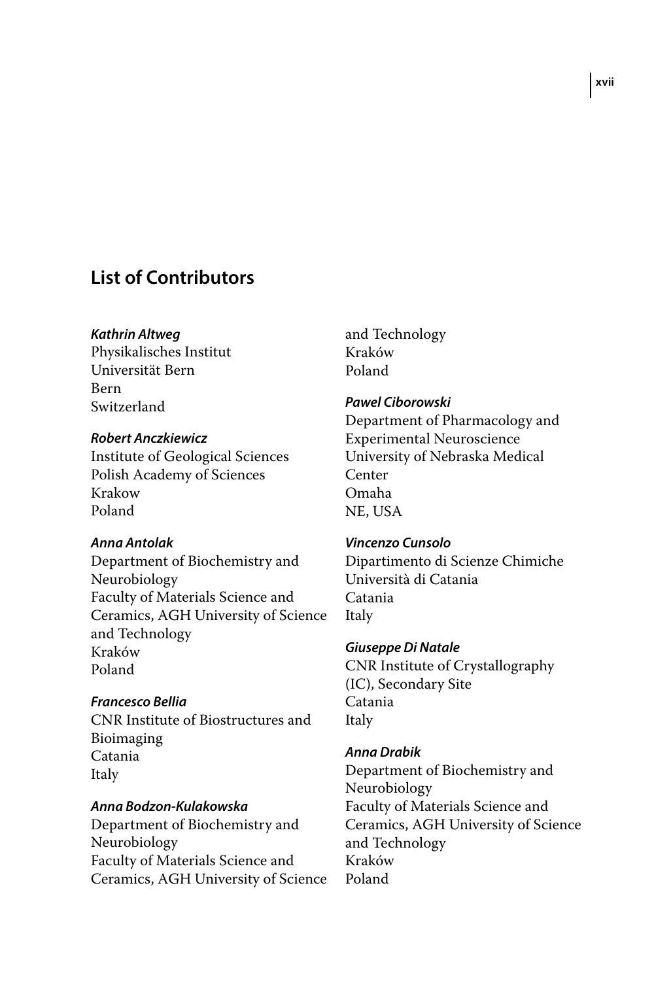#### **List of Contributors**

#### *Kathrin Altweg*

Physikalisches Institut Universität Bern Bern Switzerland

#### *Robert Anczkiewicz*

Institute of Geological Sciences Polish Academy of Sciences Krakow Poland

#### *Anna Antolak*

Department of Biochemistry and Neurobiology Faculty of Materials Science and Ceramics, AGH University of Science and Technology Kraków Poland

#### *Francesco Bellia*

CNR Institute of Biostructures and Bioimaging Catania Italy

#### *Anna Bodzon‐Kulakowska*

Department of Biochemistry and Neurobiology Faculty of Materials Science and Ceramics, AGH University of Science and Technology Kraków Poland

#### *Pawel Ciborowski*

Department of Pharmacology and Experimental Neuroscience University of Nebraska Medical Center Omaha NE, USA

#### *Vincenzo Cunsolo*

Dipartimento di Scienze Chimiche Università di Catania Catania Italy

#### *Giuseppe Di Natale*

CNR Institute of Crystallography (IC), Secondary Site Catania Italy

#### *Anna Drabik*

Department of Biochemistry and Neurobiology Faculty of Materials Science and Ceramics, AGH University of Science and Technology Kraków Poland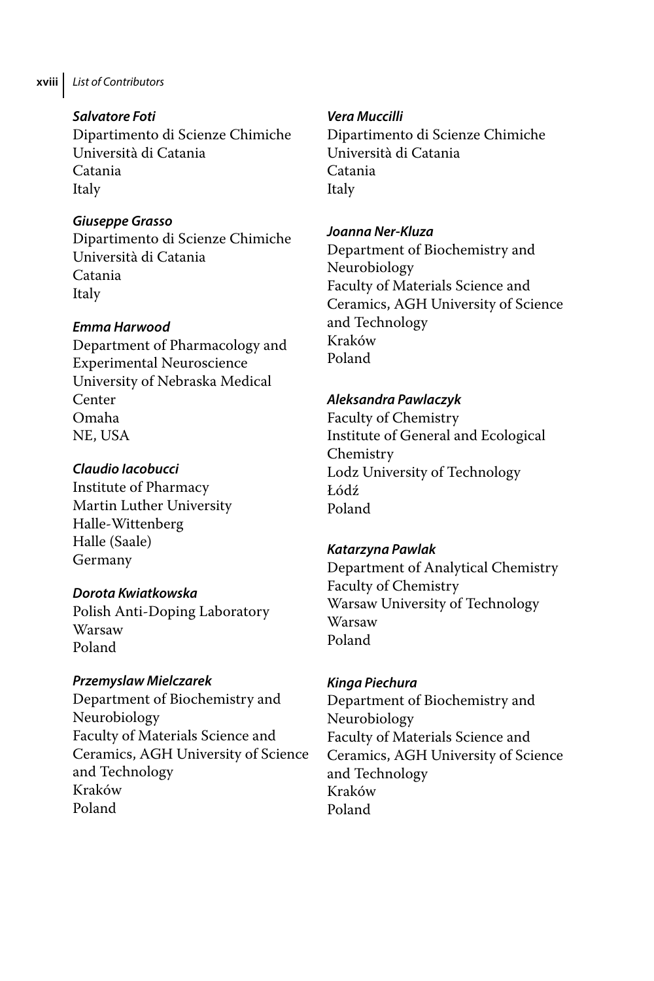**xviii** *List of Contributors*

#### *Salvatore Foti*

Dipartimento di Scienze Chimiche Università di Catania Catania Italy

#### *Giuseppe Grasso*

Dipartimento di Scienze Chimiche Università di Catania Catania Italy

#### *Emma Harwood*

Department of Pharmacology and Experimental Neuroscience University of Nebraska Medical Center Omaha NE, USA

#### *Claudio Iacobucci*

Institute of Pharmacy Martin Luther University Halle‐Wittenberg Halle (Saale) Germany

#### *Dorota Kwiatkowska*

Polish Anti-Doping Laboratory Warsaw Poland

#### *Przemyslaw Mielczarek*

Department of Biochemistry and Neurobiology Faculty of Materials Science and Ceramics, AGH University of Science and Technology Kraków Poland

#### *Vera Muccilli*

Dipartimento di Scienze Chimiche Università di Catania Catania Italy

#### *Joanna Ner‐Kluza*

Department of Biochemistry and Neurobiology Faculty of Materials Science and Ceramics, AGH University of Science and Technology Kraków Poland

#### *Aleksandra Pawlaczyk*

Faculty of Chemistry Institute of General and Ecological Chemistry Lodz University of Technology Łódź Poland

#### *Katarzyna Pawlak*

Department of Analytical Chemistry Faculty of Chemistry Warsaw University of Technology Warsaw Poland

#### *Kinga Piechura*

Department of Biochemistry and Neurobiology Faculty of Materials Science and Ceramics, AGH University of Science and Technology Kraków Poland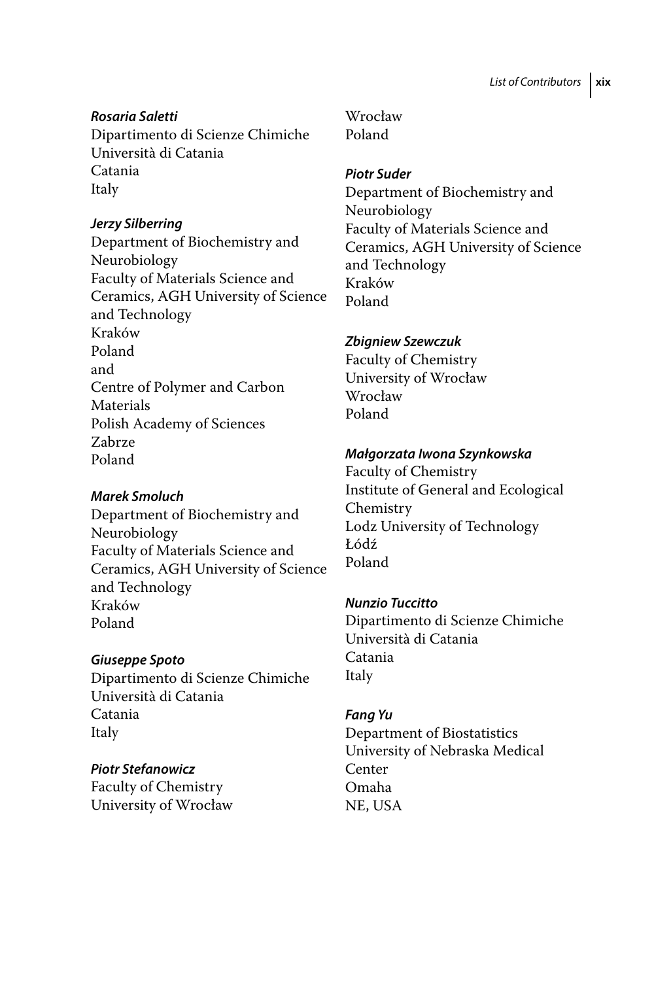#### *Rosaria Saletti*

Dipartimento di Scienze Chimiche Università di Catania Catania Italy

#### *Jerzy Silberring*

Department of Biochemistry and Neurobiology Faculty of Materials Science and Ceramics, AGH University of Science and Technology Kraków Poland and Centre of Polymer and Carbon Materials Polish Academy of Sciences Zabrze Poland

#### *Marek Smoluch*

Department of Biochemistry and Neurobiology Faculty of Materials Science and Ceramics, AGH University of Science and Technology Kraków Poland

#### *Giuseppe Spoto*

Dipartimento di Scienze Chimiche Università di Catania Catania Italy

#### *Piotr Stefanowicz* Faculty of Chemistry University of Wrocław

Wrocław Poland

#### *Piotr Suder*

Department of Biochemistry and Neurobiology Faculty of Materials Science and Ceramics, AGH University of Science and Technology Kraków Poland

#### *Zbigniew Szewczuk*

Faculty of Chemistry University of Wrocław Wrocław Poland

#### *Małgorzata Iwona Szynkowska*

Faculty of Chemistry Institute of General and Ecological Chemistry Lodz University of Technology Łódź Poland

#### *Nunzio Tuccitto*

Dipartimento di Scienze Chimiche Università di Catania Catania Italy

#### *Fang Yu*

Department of Biostatistics University of Nebraska Medical Center Omaha NE, USA